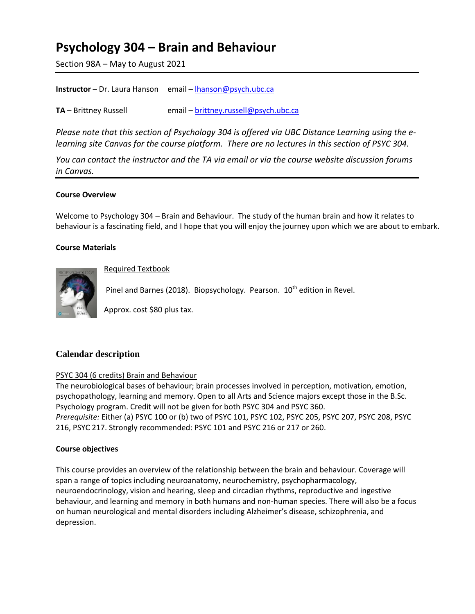# **Psychology 304 – Brain and Behaviour**

Section 98A – May to August 2021

| <b>Instructor</b> – Dr. Laura Hanson email – lhanson@psych.ubc.ca |
|-------------------------------------------------------------------|
|                                                                   |

**TA** – Brittney Russell email – **[brittney.russell@psych.ubc.ca](mailto:brittney.russell@psych.ubc.ca)** 

*Please note that this section of Psychology 304 is offered via UBC Distance Learning using the elearning site Canvas for the course platform. There are no lectures in this section of PSYC 304.* 

*You can contact the instructor and the TA via email or via the course website discussion forums in Canvas.* 

# **Course Overview**

Welcome to Psychology 304 – Brain and Behaviour. The study of the human brain and how it relates to behaviour is a fascinating field, and I hope that you will enjoy the journey upon which we are about to embark.

### **Course Materials**



Required Textbook

Pinel and Barnes (2018). Biopsychology. Pearson. 10<sup>th</sup> edition in Revel.

Approx. cost \$80 plus tax.

# **Calendar description**

# PSYC 304 (6 credits) Brain and Behaviour

The neurobiological bases of behaviour; brain processes involved in perception, motivation, emotion, psychopathology, learning and memory. Open to all Arts and Science majors except those in the B.Sc. Psychology program. Credit will not be given for both PSYC 304 and PSYC 360. *Prerequisite:* Either (a) PSYC 100 or (b) two of PSYC 101, PSYC 102, PSYC 205, PSYC 207, PSYC 208, PSYC 216, PSYC 217. Strongly recommended: PSYC 101 and PSYC 216 or 217 or 260.

## **Course objectives**

This course provides an overview of the relationship between the brain and behaviour. Coverage will span a range of topics including neuroanatomy, neurochemistry, psychopharmacology, neuroendocrinology, vision and hearing, sleep and circadian rhythms, reproductive and ingestive behaviour, and learning and memory in both humans and non-human species. There will also be a focus on human neurological and mental disorders including Alzheimer's disease, schizophrenia, and depression.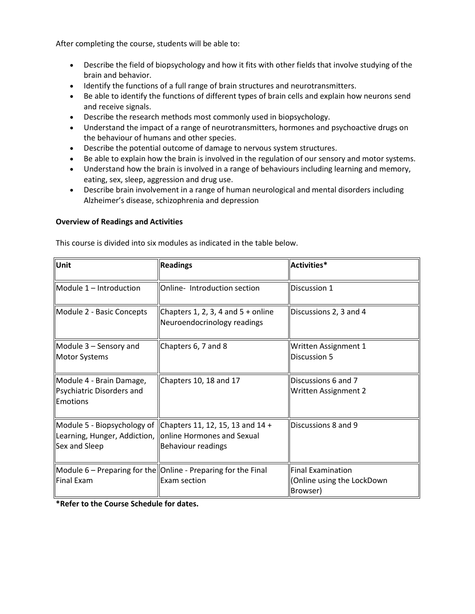After completing the course, students will be able to:

- Describe the field of biopsychology and how it fits with other fields that involve studying of the brain and behavior.
- Identify the functions of a full range of brain structures and neurotransmitters.
- Be able to identify the functions of different types of brain cells and explain how neurons send and receive signals.
- Describe the research methods most commonly used in biopsychology.
- Understand the impact of a range of neurotransmitters, hormones and psychoactive drugs on the behaviour of humans and other species.
- Describe the potential outcome of damage to nervous system structures.
- Be able to explain how the brain is involved in the regulation of our sensory and motor systems.
- Understand how the brain is involved in a range of behaviours including learning and memory, eating, sex, sleep, aggression and drug use.
- Describe brain involvement in a range of human neurological and mental disorders including Alzheimer's disease, schizophrenia and depression

### **Overview of Readings and Activities**

This course is divided into six modules as indicated in the table below.

| Unit                                                                       | <b>Readings</b>                                                                                             | Activities*                                                 |  |
|----------------------------------------------------------------------------|-------------------------------------------------------------------------------------------------------------|-------------------------------------------------------------|--|
| $M$ odule 1 – Introduction                                                 | Online-Introduction section                                                                                 | Discussion 1                                                |  |
| Module 2 - Basic Concepts                                                  | Chapters $1, 2, 3, 4$ and $5 +$ online<br>Neuroendocrinology readings                                       | Discussions 2, 3 and 4                                      |  |
| Module 3 - Sensory and<br>Motor Systems                                    | Chapters 6, 7 and 8                                                                                         | Written Assignment 1<br>Discussion 5                        |  |
| Module 4 - Brain Damage,<br>Psychiatric Disorders and<br>Emotions          | Chapters 10, 18 and 17                                                                                      | Discussions 6 and 7<br>Written Assignment 2                 |  |
| Learning, Hunger, Addiction,   online Hormones and Sexual<br>Sex and Sleep | Module 5 - Biopsychology of Chapters 11, 12, 15, 13 and 14 +<br>Behaviour readings                          | Discussions 8 and 9                                         |  |
| Final Exam                                                                 | $\blacksquare$ Module 6 – Preparing for the $\blacksquare$ Online - Preparing for the Final<br>Exam section | Final Examination<br>(Online using the LockDown<br>Browser) |  |

**\*Refer to the Course Schedule for dates.**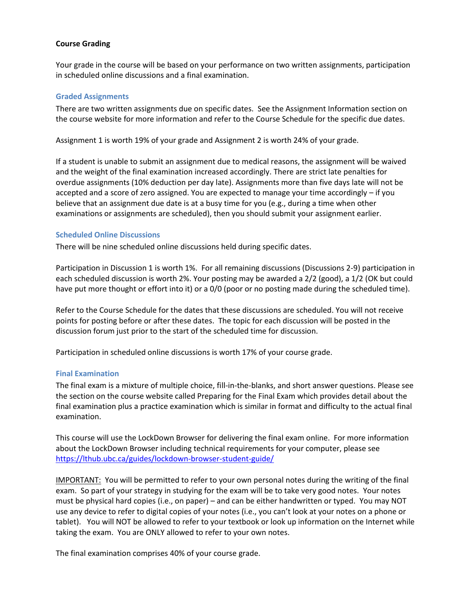## **Course Grading**

Your grade in the course will be based on your performance on two written assignments, participation in scheduled online discussions and a final examination.

#### **Graded Assignments**

There are two written assignments due on specific dates. See the Assignment Information section on the course website for more information and refer to the Course Schedule for the specific due dates.

Assignment 1 is worth 19% of your grade and Assignment 2 is worth 24% of your grade.

If a student is unable to submit an assignment due to medical reasons, the assignment will be waived and the weight of the final examination increased accordingly. There are strict late penalties for overdue assignments (10% deduction per day late). Assignments more than five days late will not be accepted and a score of zero assigned. You are expected to manage your time accordingly – if you believe that an assignment due date is at a busy time for you (e.g., during a time when other examinations or assignments are scheduled), then you should submit your assignment earlier.

### **Scheduled Online Discussions**

There will be nine scheduled online discussions held during specific dates.

Participation in Discussion 1 is worth 1%. For all remaining discussions (Discussions 2-9) participation in each scheduled discussion is worth 2%. Your posting may be awarded a 2/2 (good), a 1/2 (OK but could have put more thought or effort into it) or a 0/0 (poor or no posting made during the scheduled time).

Refer to the Course Schedule for the dates that these discussions are scheduled. You will not receive points for posting before or after these dates. The topic for each discussion will be posted in the discussion forum just prior to the start of the scheduled time for discussion.

Participation in scheduled online discussions is worth 17% of your course grade.

#### **Final Examination**

The final exam is a mixture of multiple choice, fill-in-the-blanks, and short answer questions. Please see the section on the course website called Preparing for the Final Exam which provides detail about the final examination plus a practice examination which is similar in format and difficulty to the actual final examination.

This course will use the LockDown Browser for delivering the final exam online. For more information about the LockDown Browser including technical requirements for your computer, please see <https://lthub.ubc.ca/guides/lockdown-browser-student-guide/>

IMPORTANT: You will be permitted to refer to your own personal notes during the writing of the final exam. So part of your strategy in studying for the exam will be to take very good notes. Your notes must be physical hard copies (i.e., on paper) – and can be either handwritten or typed. You may NOT use any device to refer to digital copies of your notes (i.e., you can't look at your notes on a phone or tablet). You will NOT be allowed to refer to your textbook or look up information on the Internet while taking the exam. You are ONLY allowed to refer to your own notes.

The final examination comprises 40% of your course grade.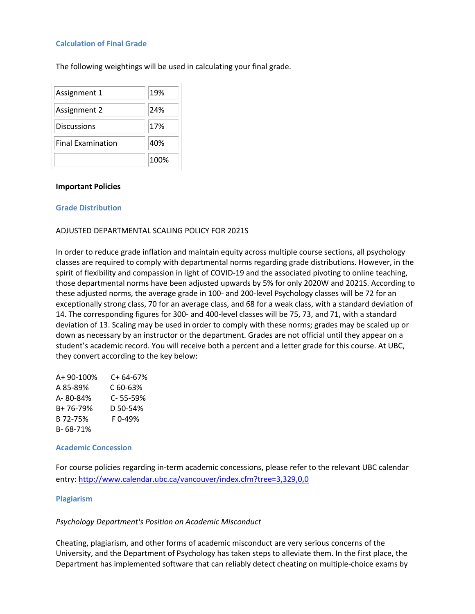### **Calculation of Final Grade**

The following weightings will be used in calculating your final grade.

| Assignment 1             | 19%  |
|--------------------------|------|
| Assignment 2             | 24%  |
| <b>Discussions</b>       | 17%  |
| <b>Final Examination</b> | 40%  |
|                          | 100% |

#### **Important Policies**

#### **Grade Distribution**

### ADJUSTED DEPARTMENTAL SCALING POLICY FOR 2021S

In order to reduce grade inflation and maintain equity across multiple course sections, all psychology classes are required to comply with departmental norms regarding grade distributions. However, in the spirit of flexibility and compassion in light of COVID-19 and the associated pivoting to online teaching, those departmental norms have been adjusted upwards by 5% for only 2020W and 2021S. According to these adjusted norms, the average grade in 100- and 200-level Psychology classes will be 72 for an exceptionally strong class, 70 for an average class, and 68 for a weak class, with a standard deviation of 14. The corresponding figures for 300- and 400-level classes will be 75, 73, and 71, with a standard deviation of 13. Scaling may be used in order to comply with these norms; grades may be scaled up or down as necessary by an instructor or the department. Grades are not official until they appear on a student's academic record. You will receive both a percent and a letter grade for this course. At UBC, they convert according to the key below:

| A+ 90-100% | C+64-67% |
|------------|----------|
| A 85-89%   | C 60-63% |
| A-80-84%   | C-55-59% |
| B+ 76-79%  | D 50-54% |
| B 72-75%   | F0-49%   |
| B-68-71%   |          |

#### **Academic Concession**

For course policies regarding in-term academic concessions, please refer to the relevant UBC calendar entry:<http://www.calendar.ubc.ca/vancouver/index.cfm?tree=3,329,0,0>

#### **Plagiarism**

#### *Psychology Department's Position on Academic Misconduct*

Cheating, plagiarism, and other forms of academic misconduct are very serious concerns of the University, and the Department of Psychology has taken steps to alleviate them. In the first place, the Department has implemented software that can reliably detect cheating on multiple-choice exams by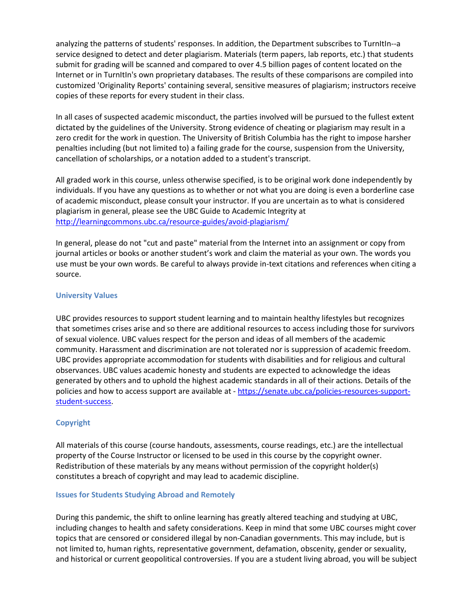analyzing the patterns of students' responses. In addition, the Department subscribes to TurnItIn--a service designed to detect and deter plagiarism. Materials (term papers, lab reports, etc.) that students submit for grading will be scanned and compared to over 4.5 billion pages of content located on the Internet or in TurnItIn's own proprietary databases. The results of these comparisons are compiled into customized 'Originality Reports' containing several, sensitive measures of plagiarism; instructors receive copies of these reports for every student in their class.

In all cases of suspected academic misconduct, the parties involved will be pursued to the fullest extent dictated by the guidelines of the University. Strong evidence of cheating or plagiarism may result in a zero credit for the work in question. The University of British Columbia has the right to impose harsher penalties including (but not limited to) a failing grade for the course, suspension from the University, cancellation of scholarships, or a notation added to a student's transcript.

All graded work in this course, unless otherwise specified, is to be original work done independently by individuals. If you have any questions as to whether or not what you are doing is even a borderline case of academic misconduct, please consult your instructor. If you are uncertain as to what is considered plagiarism in general, please see the UBC Guide to Academic Integrity at <http://learningcommons.ubc.ca/resource-guides/avoid-plagiarism/>

In general, please do not "cut and paste" material from the Internet into an assignment or copy from journal articles or books or another student's work and claim the material as your own. The words you use must be your own words. Be careful to always provide in-text citations and references when citing a source.

#### **University Values**

UBC provides resources to support student learning and to maintain healthy lifestyles but recognizes that sometimes crises arise and so there are additional resources to access including those for survivors of sexual violence. UBC values respect for the person and ideas of all members of the academic community. Harassment and discrimination are not tolerated nor is suppression of academic freedom. UBC provides appropriate accommodation for students with disabilities and for religious and cultural observances. UBC values academic honesty and students are expected to acknowledge the ideas generated by others and to uphold the highest academic standards in all of their actions. Details of the policies and how to access support are available at - [https://senate.ubc.ca/policies-resources-support](https://senate.ubc.ca/policies-resources-support-student-success)[student-success.](https://senate.ubc.ca/policies-resources-support-student-success)

# **Copyright**

All materials of this course (course handouts, assessments, course readings, etc.) are the intellectual property of the Course Instructor or licensed to be used in this course by the copyright owner. Redistribution of these materials by any means without permission of the copyright holder(s) constitutes a breach of copyright and may lead to academic discipline.

#### **Issues for Students Studying Abroad and Remotely**

During this pandemic, the shift to online learning has greatly altered teaching and studying at UBC, including changes to health and safety considerations. Keep in mind that some UBC courses might cover topics that are censored or considered illegal by non-Canadian governments. This may include, but is not limited to, human rights, representative government, defamation, obscenity, gender or sexuality, and historical or current geopolitical controversies. If you are a student living abroad, you will be subject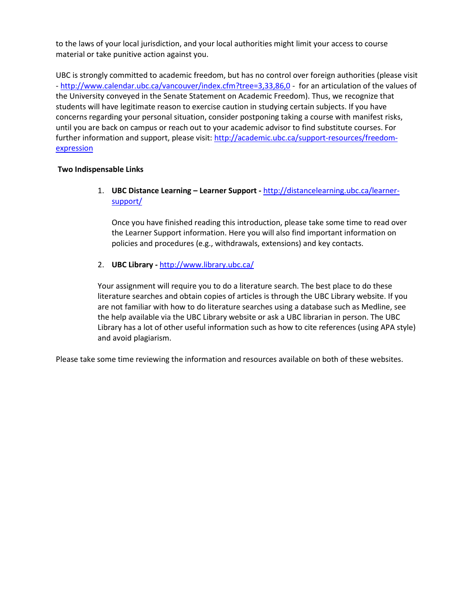to the laws of your local jurisdiction, and your local authorities might limit your access to course material or take punitive action against you.

UBC is strongly committed to academic freedom, but has no control over foreign authorities (please visit - <http://www.calendar.ubc.ca/vancouver/index.cfm?tree=3,33,86,0> - for an articulation of the values of the University conveyed in the Senate Statement on Academic Freedom). Thus, we recognize that students will have legitimate reason to exercise caution in studying certain subjects. If you have concerns regarding your personal situation, consider postponing taking a course with manifest risks, until you are back on campus or reach out to your academic advisor to find substitute courses. For further information and support, please visit: [http://academic.ubc.ca/support-resources/freedom](http://academic.ubc.ca/support-resources/freedom-expression)[expression](http://academic.ubc.ca/support-resources/freedom-expression)

# **Two Indispensable Links**

1. **UBC Distance Learning – Learner Support -** [http://distancelearning.ubc.ca/learner](http://distancelearning.ubc.ca/learner-support/)[support/](http://distancelearning.ubc.ca/learner-support/)

Once you have finished reading this introduction, please take some time to read over the Learner Support information. Here you will also find important information on policies and procedures (e.g., withdrawals, extensions) and key contacts.

# 2. **UBC Library -** <http://www.library.ubc.ca/>

Your assignment will require you to do a literature search. The best place to do these literature searches and obtain copies of articles is through the UBC Library website. If you are not familiar with how to do literature searches using a database such as Medline, see the help available via the UBC Library website or ask a UBC librarian in person. The UBC Library has a lot of other useful information such as how to cite references (using APA style) and avoid plagiarism.

Please take some time reviewing the information and resources available on both of these websites.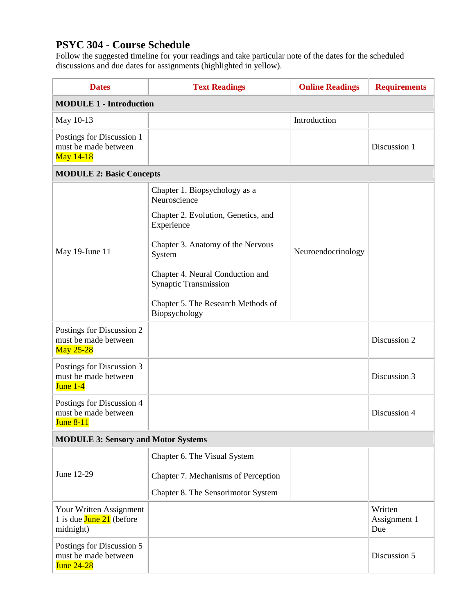# **PSYC 304 - Course Schedule**

Follow the suggested timeline for your readings and take particular note of the dates for the scheduled discussions and due dates for assignments (highlighted in yellow).

| <b>Dates</b>                                                           | <b>Text Readings</b>                                             | <b>Online Readings</b> | <b>Requirements</b>            |  |
|------------------------------------------------------------------------|------------------------------------------------------------------|------------------------|--------------------------------|--|
| <b>MODULE 1 - Introduction</b>                                         |                                                                  |                        |                                |  |
| May 10-13                                                              |                                                                  | Introduction           |                                |  |
| Postings for Discussion 1<br>must be made between<br>May 14-18         |                                                                  |                        | Discussion 1                   |  |
|                                                                        | <b>MODULE 2: Basic Concepts</b>                                  |                        |                                |  |
| May 19-June 11                                                         | Chapter 1. Biopsychology as a<br>Neuroscience                    |                        |                                |  |
|                                                                        | Chapter 2. Evolution, Genetics, and<br>Experience                |                        |                                |  |
|                                                                        | Chapter 3. Anatomy of the Nervous<br>System                      | Neuroendocrinology     |                                |  |
|                                                                        | Chapter 4. Neural Conduction and<br><b>Synaptic Transmission</b> |                        |                                |  |
|                                                                        | Chapter 5. The Research Methods of<br>Biopsychology              |                        |                                |  |
| Postings for Discussion 2<br>must be made between<br><b>May 25-28</b>  |                                                                  |                        | Discussion 2                   |  |
| Postings for Discussion 3<br>must be made between<br>June $1-4$        |                                                                  |                        | Discussion 3                   |  |
| Postings for Discussion 4<br>must be made between<br><b>June 8-11</b>  |                                                                  |                        | Discussion 4                   |  |
| <b>MODULE 3: Sensory and Motor Systems</b>                             |                                                                  |                        |                                |  |
|                                                                        | Chapter 6. The Visual System                                     |                        |                                |  |
| June 12-29                                                             | Chapter 7. Mechanisms of Perception                              |                        |                                |  |
|                                                                        | Chapter 8. The Sensorimotor System                               |                        |                                |  |
| Your Written Assignment<br>1 is due $June 21$ (before<br>midnight)     |                                                                  |                        | Written<br>Assignment 1<br>Due |  |
| Postings for Discussion 5<br>must be made between<br><b>June 24-28</b> |                                                                  |                        | Discussion 5                   |  |